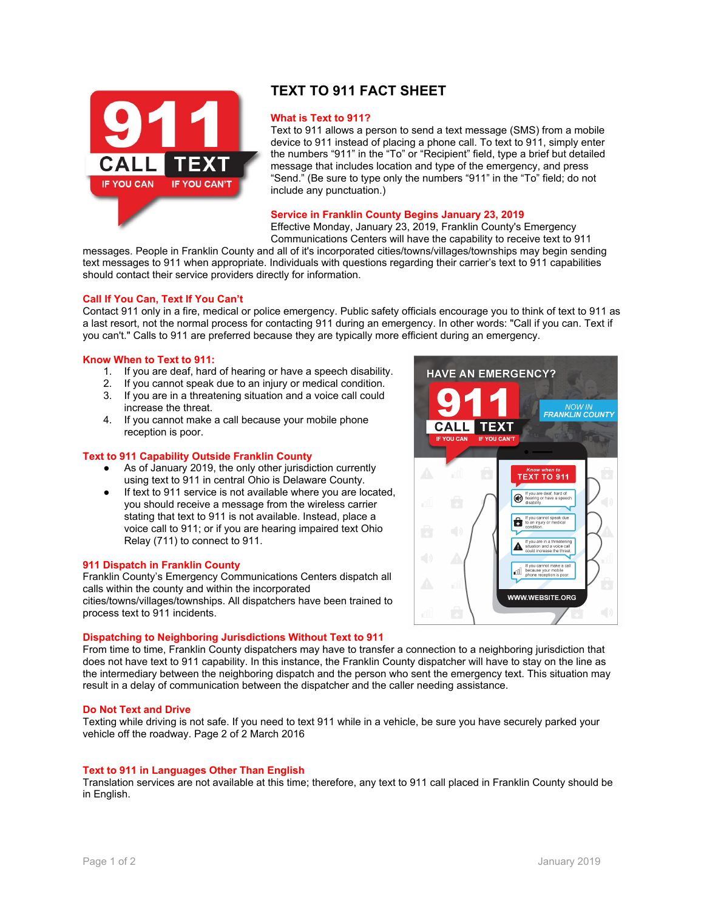



# **TEXT TO 911 FACT SHEET**

#### **What is Text to 911?**

Text to 911 allows a person to send a text message (SMS) from a mobile device to 911 instead of placing a phone call. To text to 911, simply enter the numbers "911" in the "To" or "Recipient" field, type a brief but detailed message that includes location and type of the emergency, and press "Send." (Be sure to type only the numbers "911" in the "To" field; do not include any punctuation.)

#### **Service in Franklin County Begins January 23, 2019**

Effective Monday, January 23, 2019, Franklin County's Emergency

Communications Centers will have the capability to receive text to 911 messages. People in Franklin County and all of it's incorporated cities/towns/villages/townships may begin sending

text messages to 911 when appropriate. Individuals with questions regarding their carrier's text to 911 capabilities should contact their service providers directly for information.

#### **Call If You Can, Text If You Can't**

Contact 911 only in a fire, medical or police emergency. Public safety officials encourage you to think of text to 911 as a last resort, not the normal process for contacting 911 during an emergency. In other words: "Call if you can. Text if you can't." Calls to 911 are preferred because they are typically more efficient during an emergency.

## **Know When to Text to 911:**

- 1. If you are deaf, hard of hearing or have a speech disability.
- 2. If you cannot speak due to an injury or medical condition.
- 3. If you are in a threatening situation and a voice call could increase the threat.
- 4. If you cannot make a call because your mobile phone reception is poor.

# **Text to 911 Capability Outside Franklin County**

- As of January 2019, the only other jurisdiction currently using text to 911 in central Ohio is Delaware County.
- If text to 911 service is not available where you are located, you should receive a message from the wireless carrier stating that text to 911 is not available. Instead, place a voice call to 911; or if you are hearing impaired text Ohio Relay (711) to connect to 911.

#### **911 Dispatch in Franklin County**

Franklin County's Emergency Communications Centers dispatch all calls within the county and within the incorporated cities/towns/villages/townships. All dispatchers have been trained to process text to 911 incidents.

#### **Dispatching to Neighboring Jurisdictions Without Text to 911**

From time to time, Franklin County dispatchers may have to transfer a connection to a neighboring jurisdiction that does not have text to 911 capability. In this instance, the Franklin County dispatcher will have to stay on the line as

the intermediary between the neighboring dispatch and the person who sent the emergency text. This situation may result in a delay of communication between the dispatcher and the caller needing assistance.

#### **Do Not Text and Drive**

Texting while driving is not safe. If you need to text 911 while in a vehicle, be sure you have securely parked your vehicle off the roadway. Page 2 of 2 March 2016

# **Text to 911 in Languages Other Than English**

Translation services are not available at this time; therefore, any text to 911 call placed in Franklin County should be in English.